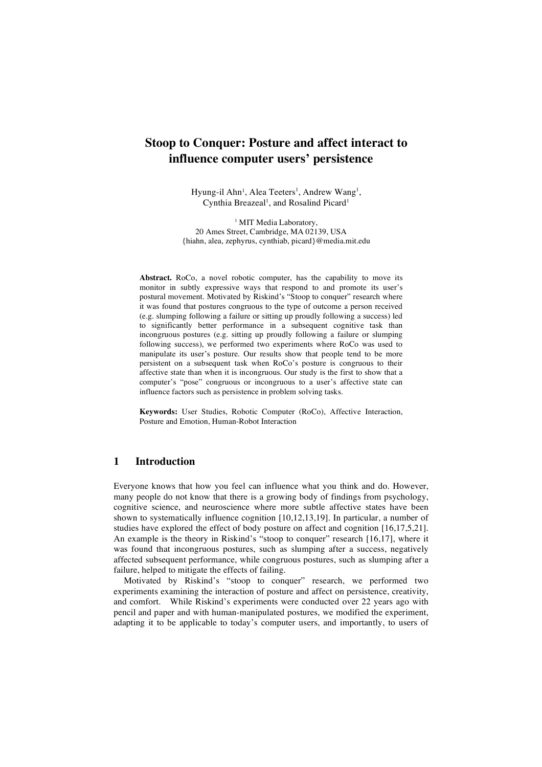# **Stoop to Conquer: Posture and affect interact to influence computer users' persistence**

Hyung-il Ahn<sup>1</sup>, Alea Teeters<sup>1</sup>, Andrew Wang<sup>1</sup>, Cynthia Breazeal<sup>1</sup>, and Rosalind Picard<sup>1</sup>

<sup>1</sup> MIT Media Laboratory, 20 Ames Street, Cambridge, MA 02139, USA {hiahn, alea, zephyrus, cynthiab, picard}@media.mit.edu

Abstract. RoCo, a novel robotic computer, has the capability to move its monitor in subtly expressive ways that respond to and promote its user's postural movement. Motivated by Riskind's "Stoop to conquer" research where it was found that postures congruous to the type of outcome a person received (e.g. slumping following a failure or sitting up proudly following a success) led to significantly better performance in a subsequent cognitive task than incongruous postures (e.g. sitting up proudly following a failure or slumping following success), we performed two experiments where RoCo was used to manipulate its user's posture. Our results show that people tend to be more persistent on a subsequent task when RoCo's posture is congruous to their affective state than when it is incongruous. Our study is the first to show that a computer's "pose" congruous or incongruous to a user's affective state can influence factors such as persistence in problem solving tasks.

**Keywords:** User Studies, Robotic Computer (RoCo), Affective Interaction, Posture and Emotion, Human-Robot Interaction

# **1 Introduction**

Everyone knows that how you feel can influence what you think and do. However, many people do not know that there is a growing body of findings from psychology, cognitive science, and neuroscience where more subtle affective states have been shown to systematically influence cognition [10,12,13,19]. In particular, a number of studies have explored the effect of body posture on affect and cognition [16,17,5,21]. An example is the theory in Riskind's "stoop to conquer" research [16,17], where it was found that incongruous postures, such as slumping after a success, negatively affected subsequent performance, while congruous postures, such as slumping after a failure, helped to mitigate the effects of failing.

Motivated by Riskind's "stoop to conquer" research, we performed two experiments examining the interaction of posture and affect on persistence, creativity, and comfort. While Riskind's experiments were conducted over 22 years ago with pencil and paper and with human-manipulated postures, we modified the experiment, adapting it to be applicable to today's computer users, and importantly, to users of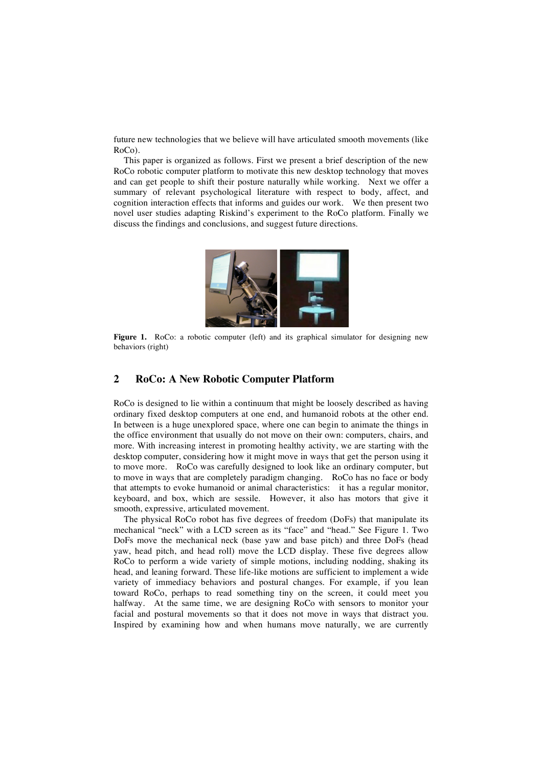future new technologies that we believe will have articulated smooth movements (like RoCo).

This paper is organized as follows. First we present a brief description of the new RoCo robotic computer platform to motivate this new desktop technology that moves and can get people to shift their posture naturally while working. Next we offer a summary of relevant psychological literature with respect to body, affect, and cognition interaction effects that informs and guides our work. We then present two novel user studies adapting Riskind's experiment to the RoCo platform. Finally we discuss the findings and conclusions, and suggest future directions.



**Figure 1.** RoCo: a robotic computer (left) and its graphical simulator for designing new behaviors (right)

# **2 RoCo: A New Robotic Computer Platform**

RoCo is designed to lie within a continuum that might be loosely described as having ordinary fixed desktop computers at one end, and humanoid robots at the other end. In between is a huge unexplored space, where one can begin to animate the things in the office environment that usually do not move on their own: computers, chairs, and more. With increasing interest in promoting healthy activity, we are starting with the desktop computer, considering how it might move in ways that get the person using it to move more. RoCo was carefully designed to look like an ordinary computer, but to move in ways that are completely paradigm changing. RoCo has no face or body that attempts to evoke humanoid or animal characteristics: it has a regular monitor, keyboard, and box, which are sessile. However, it also has motors that give it smooth, expressive, articulated movement.

The physical RoCo robot has five degrees of freedom (DoFs) that manipulate its mechanical "neck" with a LCD screen as its "face" and "head." See Figure 1. Two DoFs move the mechanical neck (base yaw and base pitch) and three DoFs (head yaw, head pitch, and head roll) move the LCD display. These five degrees allow RoCo to perform a wide variety of simple motions, including nodding, shaking its head, and leaning forward. These life-like motions are sufficient to implement a wide variety of immediacy behaviors and postural changes. For example, if you lean toward RoCo, perhaps to read something tiny on the screen, it could meet you halfway. At the same time, we are designing RoCo with sensors to monitor your facial and postural movements so that it does not move in ways that distract you. Inspired by examining how and when humans move naturally, we are currently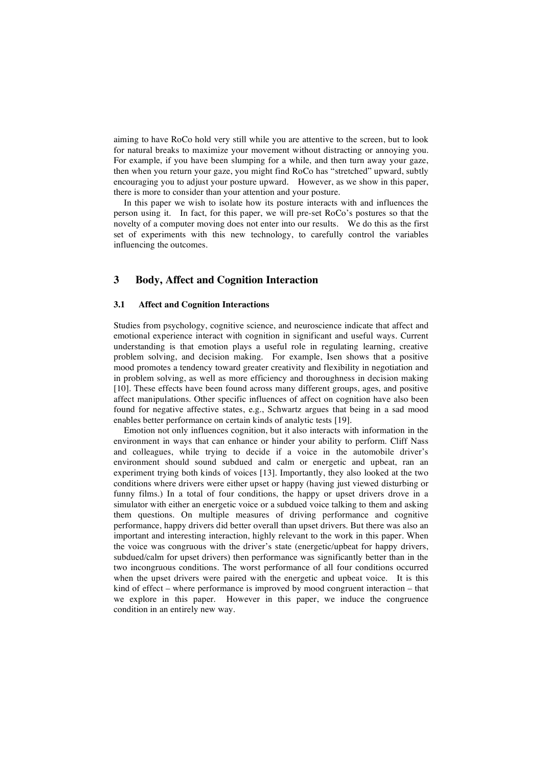aiming to have RoCo hold very still while you are attentive to the screen, but to look for natural breaks to maximize your movement without distracting or annoying you. For example, if you have been slumping for a while, and then turn away your gaze, then when you return your gaze, you might find RoCo has "stretched" upward, subtly encouraging you to adjust your posture upward. However, as we show in this paper, there is more to consider than your attention and your posture.

In this paper we wish to isolate how its posture interacts with and influences the person using it. In fact, for this paper, we will pre-set RoCo's postures so that the novelty of a computer moving does not enter into our results. We do this as the first set of experiments with this new technology, to carefully control the variables influencing the outcomes.

# **3 Body, Affect and Cognition Interaction**

### **3.1 Affect and Cognition Interactions**

Studies from psychology, cognitive science, and neuroscience indicate that affect and emotional experience interact with cognition in significant and useful ways. Current understanding is that emotion plays a useful role in regulating learning, creative problem solving, and decision making. For example, Isen shows that a positive mood promotes a tendency toward greater creativity and flexibility in negotiation and in problem solving, as well as more efficiency and thoroughness in decision making [10]. These effects have been found across many different groups, ages, and positive affect manipulations. Other specific influences of affect on cognition have also been found for negative affective states, e.g., Schwartz argues that being in a sad mood enables better performance on certain kinds of analytic tests [19].

Emotion not only influences cognition, but it also interacts with information in the environment in ways that can enhance or hinder your ability to perform. Cliff Nass and colleagues, while trying to decide if a voice in the automobile driver's environment should sound subdued and calm or energetic and upbeat, ran an experiment trying both kinds of voices [13]. Importantly, they also looked at the two conditions where drivers were either upset or happy (having just viewed disturbing or funny films.) In a total of four conditions, the happy or upset drivers drove in a simulator with either an energetic voice or a subdued voice talking to them and asking them questions. On multiple measures of driving performance and cognitive performance, happy drivers did better overall than upset drivers. But there was also an important and interesting interaction, highly relevant to the work in this paper. When the voice was congruous with the driver's state (energetic/upbeat for happy drivers, subdued/calm for upset drivers) then performance was significantly better than in the two incongruous conditions. The worst performance of all four conditions occurred when the upset drivers were paired with the energetic and upbeat voice. It is this kind of effect – where performance is improved by mood congruent interaction – that we explore in this paper. However in this paper, we induce the congruence condition in an entirely new way.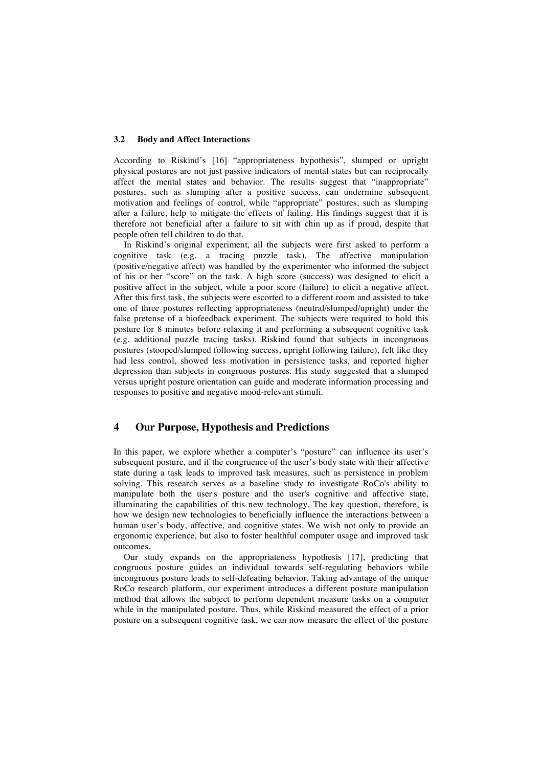#### **3.2 Body and Affect Interactions**

According to Riskind's [16] "appropriateness hypothesis", slumped or upright physical postures are not just passive indicators of mental states but can reciprocally affect the mental states and behavior. The results suggest that "inappropriate" postures, such as slumping after a positive success, can undermine subsequent motivation and feelings of control, while "appropriate" postures, such as slumping after a failure, help to mitigate the effects of failing. His findings suggest that it is therefore not beneficial after a failure to sit with chin up as if proud, despite that people often tell children to do that.

In Riskind's original experiment, all the subjects were first asked to perform a cognitive task (e.g. a tracing puzzle task). The affective manipulation (positive/negative affect) was handled by the experimenter who informed the subject of his or her "score" on the task. A high score (success) was designed to elicit a positive affect in the subject, while a poor score (failure) to elicit a negative affect. After this first task, the subjects were escorted to a different room and assisted to take one of three postures reflecting appropriateness (neutral/slumped/upright) under the false pretense of a biofeedback experiment. The subjects were required to hold this posture for 8 minutes before relaxing it and performing a subsequent cognitive task (e.g. additional puzzle tracing tasks). Riskind found that subjects in incongruous postures (stooped/slumped following success, upright following failure), felt like they had less control, showed less motivation in persistence tasks, and reported higher depression than subjects in congruous postures. His study suggested that a slumped versus upright posture orientation can guide and moderate information processing and responses to positive and negative mood-relevant stimuli.

## **4 Our Purpose, Hypothesis and Predictions**

In this paper, we explore whether a computer's "posture" can influence its user's subsequent posture, and if the congruence of the user's body state with their affective state during a task leads to improved task measures, such as persistence in problem solving. This research serves as a baseline study to investigate RoCo's ability to manipulate both the user's posture and the user's cognitive and affective state, illuminating the capabilities of this new technology. The key question, therefore, is how we design new technologies to beneficially influence the interactions between a human user's body, affective, and cognitive states. We wish not only to provide an ergonomic experience, but also to foster healthful computer usage and improved task outcomes.

Our study expands on the appropriateness hypothesis [17], predicting that congruous posture guides an individual towards self-regulating behaviors while incongruous posture leads to self-defeating behavior. Taking advantage of the unique RoCo research platform, our experiment introduces a different posture manipulation method that allows the subject to perform dependent measure tasks on a computer while in the manipulated posture. Thus, while Riskind measured the effect of a prior posture on a subsequent cognitive task, we can now measure the effect of the posture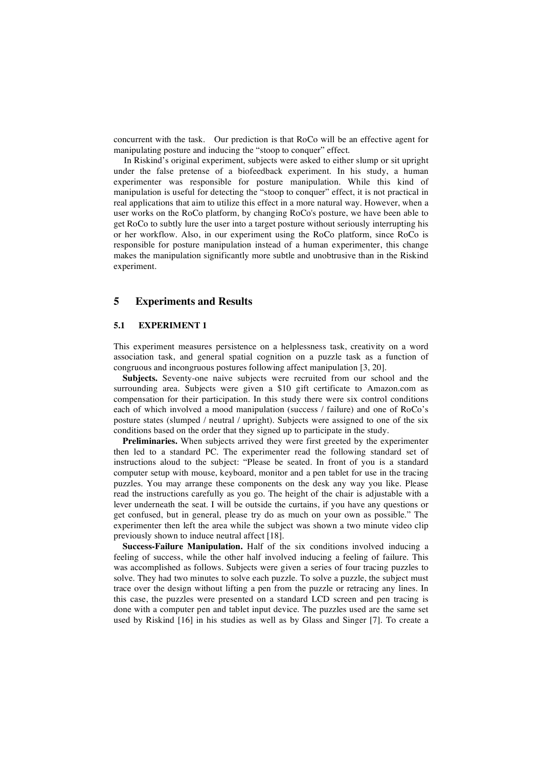concurrent with the task. Our prediction is that RoCo will be an effective agent for manipulating posture and inducing the "stoop to conquer" effect.

In Riskind's original experiment, subjects were asked to either slump or sit upright under the false pretense of a biofeedback experiment. In his study, a human experimenter was responsible for posture manipulation. While this kind of manipulation is useful for detecting the "stoop to conquer" effect, it is not practical in real applications that aim to utilize this effect in a more natural way. However, when a user works on the RoCo platform, by changing RoCo's posture, we have been able to get RoCo to subtly lure the user into a target posture without seriously interrupting his or her workflow. Also, in our experiment using the RoCo platform, since RoCo is responsible for posture manipulation instead of a human experimenter, this change makes the manipulation significantly more subtle and unobtrusive than in the Riskind experiment.

# **5 Experiments and Results**

#### **5.1 EXPERIMENT 1**

This experiment measures persistence on a helplessness task, creativity on a word association task, and general spatial cognition on a puzzle task as a function of congruous and incongruous postures following affect manipulation [3, 20].

**Subjects.** Seventy-one naive subjects were recruited from our school and the surrounding area. Subjects were given a \$10 gift certificate to Amazon.com as compensation for their participation. In this study there were six control conditions each of which involved a mood manipulation (success / failure) and one of RoCo's posture states (slumped / neutral / upright). Subjects were assigned to one of the six conditions based on the order that they signed up to participate in the study.

**Preliminaries.** When subjects arrived they were first greeted by the experimenter then led to a standard PC. The experimenter read the following standard set of instructions aloud to the subject: "Please be seated. In front of you is a standard computer setup with mouse, keyboard, monitor and a pen tablet for use in the tracing puzzles. You may arrange these components on the desk any way you like. Please read the instructions carefully as you go. The height of the chair is adjustable with a lever underneath the seat. I will be outside the curtains, if you have any questions or get confused, but in general, please try do as much on your own as possible." The experimenter then left the area while the subject was shown a two minute video clip previously shown to induce neutral affect [18].

**Success-Failure Manipulation.** Half of the six conditions involved inducing a feeling of success, while the other half involved inducing a feeling of failure. This was accomplished as follows. Subjects were given a series of four tracing puzzles to solve. They had two minutes to solve each puzzle. To solve a puzzle, the subject must trace over the design without lifting a pen from the puzzle or retracing any lines. In this case, the puzzles were presented on a standard LCD screen and pen tracing is done with a computer pen and tablet input device. The puzzles used are the same set used by Riskind [16] in his studies as well as by Glass and Singer [7]. To create a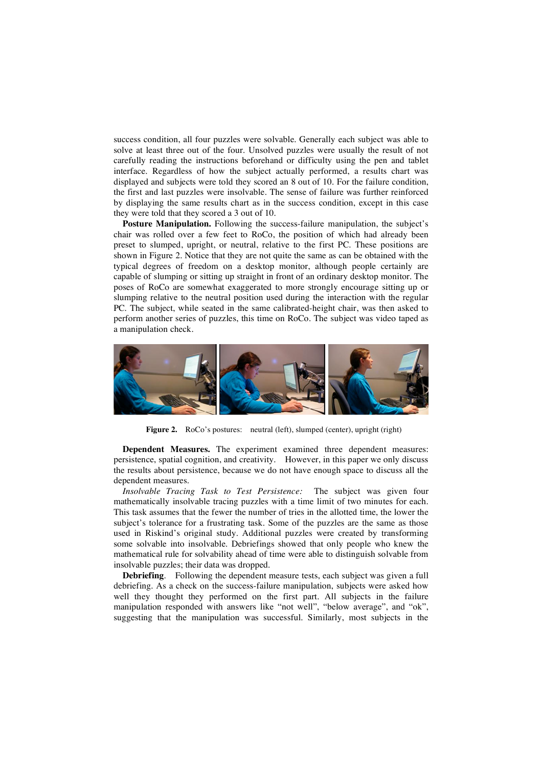success condition, all four puzzles were solvable. Generally each subject was able to solve at least three out of the four. Unsolved puzzles were usually the result of not carefully reading the instructions beforehand or difficulty using the pen and tablet interface. Regardless of how the subject actually performed, a results chart was displayed and subjects were told they scored an 8 out of 10. For the failure condition, the first and last puzzles were insolvable. The sense of failure was further reinforced by displaying the same results chart as in the success condition, except in this case they were told that they scored a 3 out of 10.

**Posture Manipulation.** Following the success-failure manipulation, the subject's chair was rolled over a few feet to RoCo, the position of which had already been preset to slumped, upright, or neutral, relative to the first PC. These positions are shown in Figure 2. Notice that they are not quite the same as can be obtained with the typical degrees of freedom on a desktop monitor, although people certainly are capable of slumping or sitting up straight in front of an ordinary desktop monitor. The poses of RoCo are somewhat exaggerated to more strongly encourage sitting up or slumping relative to the neutral position used during the interaction with the regular PC. The subject, while seated in the same calibrated-height chair, was then asked to perform another series of puzzles, this time on RoCo. The subject was video taped as a manipulation check.



**Figure 2.** RoCo's postures: neutral (left), slumped (center), upright (right)

**Dependent Measures.** The experiment examined three dependent measures: persistence, spatial cognition, and creativity. However, in this paper we only discuss the results about persistence, because we do not have enough space to discuss all the dependent measures.

*Insolvable Tracing Task to Test Persistence:* The subject was given four mathematically insolvable tracing puzzles with a time limit of two minutes for each. This task assumes that the fewer the number of tries in the allotted time, the lower the subject's tolerance for a frustrating task. Some of the puzzles are the same as those used in Riskind's original study. Additional puzzles were created by transforming some solvable into insolvable. Debriefings showed that only people who knew the mathematical rule for solvability ahead of time were able to distinguish solvable from insolvable puzzles; their data was dropped.

**Debriefing.** Following the dependent measure tests, each subject was given a full debriefing. As a check on the success-failure manipulation, subjects were asked how well they thought they performed on the first part. All subjects in the failure manipulation responded with answers like "not well", "below average", and "ok", suggesting that the manipulation was successful. Similarly, most subjects in the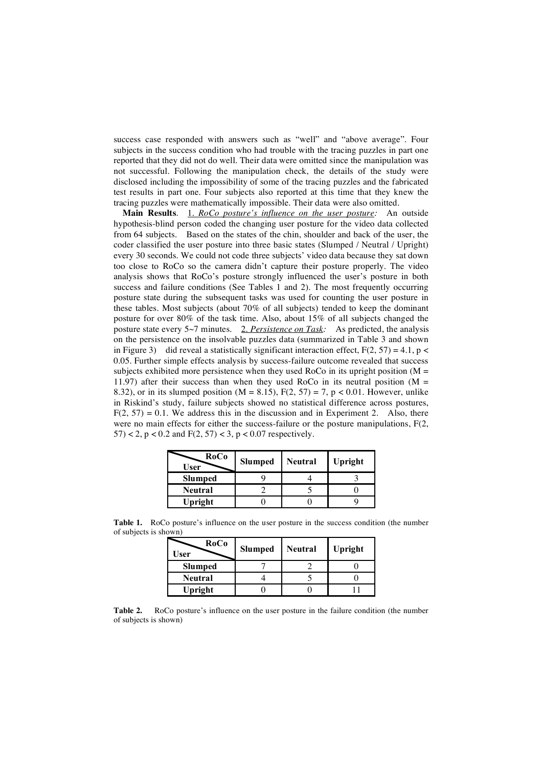success case responded with answers such as "well" and "above average". Four subjects in the success condition who had trouble with the tracing puzzles in part one reported that they did not do well. Their data were omitted since the manipulation was not successful. Following the manipulation check, the details of the study were disclosed including the impossibility of some of the tracing puzzles and the fabricated test results in part one. Four subjects also reported at this time that they knew the tracing puzzles were mathematically impossible. Their data were also omitted.

**Main Results**. 1. *RoCo posture's influence on the user posture:* An outside hypothesis-blind person coded the changing user posture for the video data collected from 64 subjects. Based on the states of the chin, shoulder and back of the user, the coder classified the user posture into three basic states (Slumped / Neutral / Upright) every 30 seconds. We could not code three subjects' video data because they sat down too close to RoCo so the camera didn't capture their posture properly. The video analysis shows that RoCo's posture strongly influenced the user's posture in both success and failure conditions (See Tables 1 and 2). The most frequently occurring posture state during the subsequent tasks was used for counting the user posture in these tables. Most subjects (about 70% of all subjects) tended to keep the dominant posture for over 80% of the task time. Also, about 15% of all subjects changed the posture state every 5~7 minutes. 2. *Persistence on Task:* As predicted, the analysis on the persistence on the insolvable puzzles data (summarized in Table 3 and shown in Figure 3) did reveal a statistically significant interaction effect,  $F(2, 57) = 4.1$ , p < 0.05. Further simple effects analysis by success-failure outcome revealed that success subjects exhibited more persistence when they used RoCo in its upright position  $(M =$ 11.97) after their success than when they used RoCo in its neutral position ( $M =$ 8.32), or in its slumped position ( $M = 8.15$ ),  $F(2, 57) = 7$ ,  $p < 0.01$ . However, unlike in Riskind's study, failure subjects showed no statistical difference across postures,  $F(2, 57) = 0.1$ . We address this in the discussion and in Experiment 2. Also, there were no main effects for either the success-failure or the posture manipulations, F(2, 57) < 2, p < 0.2 and  $F(2, 57)$  < 3, p < 0.07 respectively.

| RoCo<br><b>User</b> | <b>Slumped</b> | <b>Neutral</b> | Upright |
|---------------------|----------------|----------------|---------|
| <b>Slumped</b>      |                |                |         |
| Neutral             |                |                |         |
| Upright             |                |                |         |

**Table 1.** RoCo posture's influence on the user posture in the success condition (the number of subjects is shown)

| RoCo<br>∪ser   | Slumped | Neutral | Upright |
|----------------|---------|---------|---------|
| <b>Slumped</b> |         |         |         |
| <b>Neutral</b> |         |         |         |
| <b>Upright</b> |         |         |         |

**Table 2.** RoCo posture's influence on the user posture in the failure condition (the number of subjects is shown)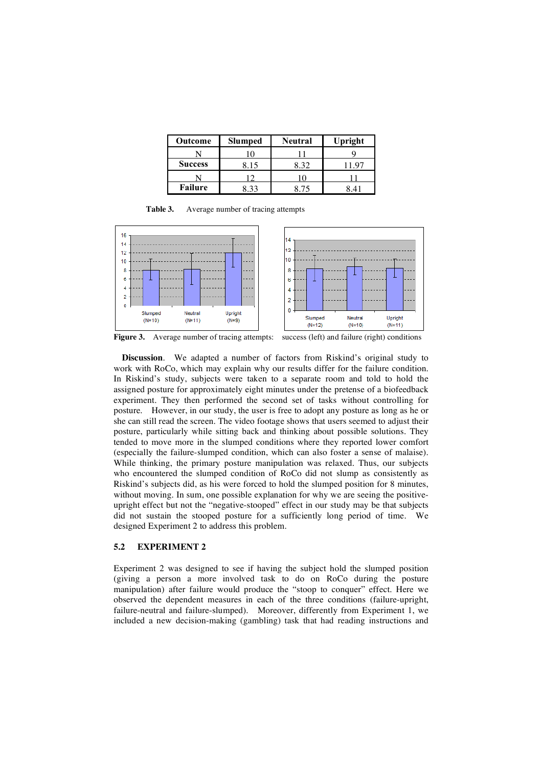| Outcome        | <b>Slumped</b> | <b>Neutral</b> | <b>Upright</b> |
|----------------|----------------|----------------|----------------|
|                |                |                |                |
| <b>Success</b> | 8.15           | 8 32           |                |
|                |                |                |                |
| <b>Failure</b> |                |                |                |

**Table 3.** Average number of tracing attempts



**Figure 3.** Average number of tracing attempts: success (left) and failure (right) conditions

**Discussion**. We adapted a number of factors from Riskind's original study to work with RoCo, which may explain why our results differ for the failure condition. In Riskind's study, subjects were taken to a separate room and told to hold the assigned posture for approximately eight minutes under the pretense of a biofeedback experiment. They then performed the second set of tasks without controlling for posture. However, in our study, the user is free to adopt any posture as long as he or she can still read the screen. The video footage shows that users seemed to adjust their posture, particularly while sitting back and thinking about possible solutions. They tended to move more in the slumped conditions where they reported lower comfort (especially the failure-slumped condition, which can also foster a sense of malaise). While thinking, the primary posture manipulation was relaxed. Thus, our subjects who encountered the slumped condition of RoCo did not slump as consistently as Riskind's subjects did, as his were forced to hold the slumped position for 8 minutes, without moving. In sum, one possible explanation for why we are seeing the positiveupright effect but not the "negative-stooped" effect in our study may be that subjects did not sustain the stooped posture for a sufficiently long period of time. We designed Experiment 2 to address this problem.

### **5.2 EXPERIMENT 2**

Experiment 2 was designed to see if having the subject hold the slumped position (giving a person a more involved task to do on RoCo during the posture manipulation) after failure would produce the "stoop to conquer" effect. Here we observed the dependent measures in each of the three conditions (failure-upright, failure-neutral and failure-slumped). Moreover, differently from Experiment 1, we included a new decision-making (gambling) task that had reading instructions and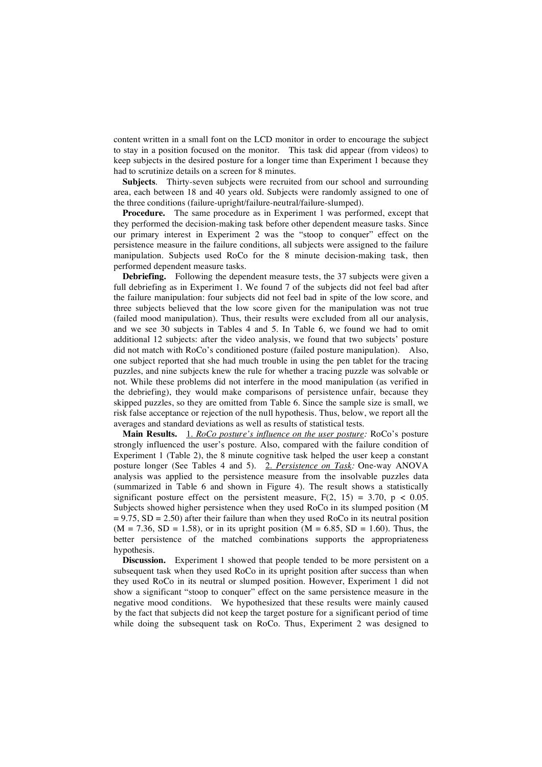content written in a small font on the LCD monitor in order to encourage the subject to stay in a position focused on the monitor. This task did appear (from videos) to keep subjects in the desired posture for a longer time than Experiment 1 because they had to scrutinize details on a screen for 8 minutes.

**Subjects**. Thirty-seven subjects were recruited from our school and surrounding area, each between 18 and 40 years old. Subjects were randomly assigned to one of the three conditions (failure-upright/failure-neutral/failure-slumped).

**Procedure.** The same procedure as in Experiment 1 was performed, except that they performed the decision-making task before other dependent measure tasks. Since our primary interest in Experiment 2 was the "stoop to conquer" effect on the persistence measure in the failure conditions, all subjects were assigned to the failure manipulation. Subjects used RoCo for the 8 minute decision-making task, then performed dependent measure tasks.

**Debriefing.** Following the dependent measure tests, the 37 subjects were given a full debriefing as in Experiment 1. We found 7 of the subjects did not feel bad after the failure manipulation: four subjects did not feel bad in spite of the low score, and three subjects believed that the low score given for the manipulation was not true (failed mood manipulation). Thus, their results were excluded from all our analysis, and we see 30 subjects in Tables 4 and 5. In Table 6, we found we had to omit additional 12 subjects: after the video analysis, we found that two subjects' posture did not match with RoCo's conditioned posture (failed posture manipulation). Also, one subject reported that she had much trouble in using the pen tablet for the tracing puzzles, and nine subjects knew the rule for whether a tracing puzzle was solvable or not. While these problems did not interfere in the mood manipulation (as verified in the debriefing), they would make comparisons of persistence unfair, because they skipped puzzles, so they are omitted from Table 6. Since the sample size is small, we risk false acceptance or rejection of the null hypothesis. Thus, below, we report all the averages and standard deviations as well as results of statistical tests.

**Main Results.** 1. *RoCo posture's influence on the user posture:* RoCo's posture strongly influenced the user's posture. Also, compared with the failure condition of Experiment 1 (Table 2), the 8 minute cognitive task helped the user keep a constant posture longer (See Tables 4 and 5). 2. *Persistence on Task:* One-way ANOVA analysis was applied to the persistence measure from the insolvable puzzles data (summarized in Table 6 and shown in Figure 4). The result shows a statistically significant posture effect on the persistent measure,  $F(2, 15) = 3.70$ ,  $p < 0.05$ . Subjects showed higher persistence when they used RoCo in its slumped position (M  $= 9.75$ , SD = 2.50) after their failure than when they used RoCo in its neutral position  $(M = 7.36, SD = 1.58)$ , or in its upright position  $(M = 6.85, SD = 1.60)$ . Thus, the better persistence of the matched combinations supports the appropriateness hypothesis.

**Discussion.** Experiment 1 showed that people tended to be more persistent on a subsequent task when they used RoCo in its upright position after success than when they used RoCo in its neutral or slumped position. However, Experiment 1 did not show a significant "stoop to conquer" effect on the same persistence measure in the negative mood conditions. We hypothesized that these results were mainly caused by the fact that subjects did not keep the target posture for a significant period of time while doing the subsequent task on RoCo. Thus, Experiment 2 was designed to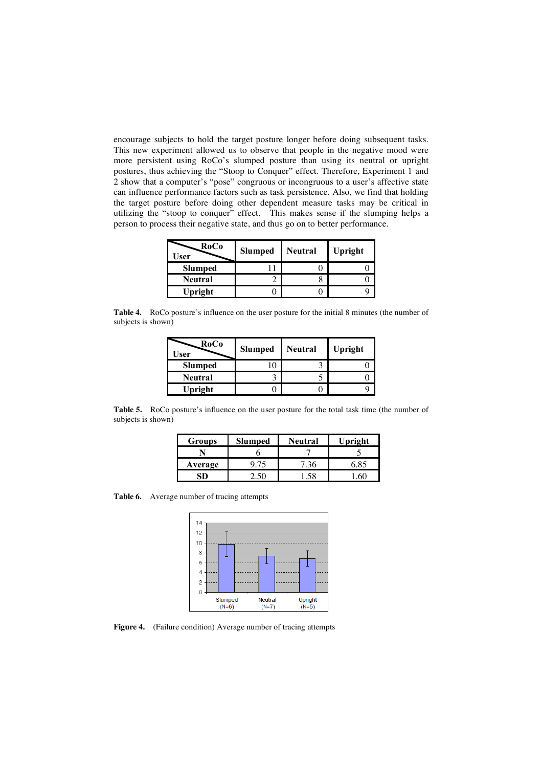encourage subjects to hold the target posture longer before doing subsequent tasks. This new experiment allowed us to observe that people in the negative mood were more persistent using RoCo's slumped posture than using its neutral or upright postures, thus achieving the "Stoop to Conquer" effect. Therefore, Experiment 1 and 2 show that a computer's "pose" congruous or incongruous to a user's affective state can influence performance factors such as task persistence. Also, we find that holding the target posture before doing other dependent measure tasks may be critical in utilizing the "stoop to conquer" effect. This makes sense if the slumping helps a person to process their negative state, and thus go on to better performance.

| RoCo<br>User   | <b>Slumped</b> | <b>Neutral</b> | Upright |
|----------------|----------------|----------------|---------|
| <b>Slumped</b> |                |                |         |
| Neutral        |                |                |         |
| Upright        |                |                |         |

**Table 4.** RoCo posture's influence on the user posture for the initial 8 minutes (the number of subjects is shown)

| RoCo<br>User   | <b>Slumped</b> | Neutral | Upright |
|----------------|----------------|---------|---------|
| <b>Slumped</b> |                |         |         |
| <b>Neutral</b> |                |         |         |
| <b>Upright</b> |                |         |         |

**Table 5.** RoCo posture's influence on the user posture for the total task time (the number of subjects is shown)

| <b>Groups</b> | <b>Slumped</b> | <b>Neutral</b> | <b>Upright</b> |
|---------------|----------------|----------------|----------------|
|               |                |                |                |
| Average       |                |                |                |
|               |                |                |                |

**Table 6.** Average number of tracing attempts



**Figure 4.** (Failure condition) Average number of tracing attempts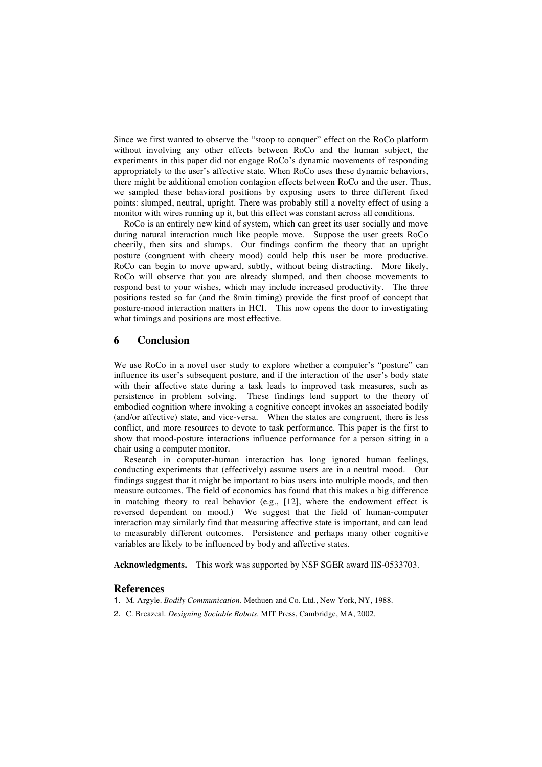Since we first wanted to observe the "stoop to conquer" effect on the RoCo platform without involving any other effects between RoCo and the human subject, the experiments in this paper did not engage RoCo's dynamic movements of responding appropriately to the user's affective state. When RoCo uses these dynamic behaviors, there might be additional emotion contagion effects between RoCo and the user. Thus, we sampled these behavioral positions by exposing users to three different fixed points: slumped, neutral, upright. There was probably still a novelty effect of using a monitor with wires running up it, but this effect was constant across all conditions.

RoCo is an entirely new kind of system, which can greet its user socially and move during natural interaction much like people move. Suppose the user greets RoCo cheerily, then sits and slumps. Our findings confirm the theory that an upright posture (congruent with cheery mood) could help this user be more productive. RoCo can begin to move upward, subtly, without being distracting. More likely, RoCo will observe that you are already slumped, and then choose movements to respond best to your wishes, which may include increased productivity. The three positions tested so far (and the 8min timing) provide the first proof of concept that posture-mood interaction matters in HCI. This now opens the door to investigating what timings and positions are most effective.

#### **6 Conclusion**

We use RoCo in a novel user study to explore whether a computer's "posture" can influence its user's subsequent posture, and if the interaction of the user's body state with their affective state during a task leads to improved task measures, such as persistence in problem solving. These findings lend support to the theory of embodied cognition where invoking a cognitive concept invokes an associated bodily (and/or affective) state, and vice-versa. When the states are congruent, there is less conflict, and more resources to devote to task performance. This paper is the first to show that mood-posture interactions influence performance for a person sitting in a chair using a computer monitor.

Research in computer-human interaction has long ignored human feelings, conducting experiments that (effectively) assume users are in a neutral mood. Our findings suggest that it might be important to bias users into multiple moods, and then measure outcomes. The field of economics has found that this makes a big difference in matching theory to real behavior (e.g., [12], where the endowment effect is reversed dependent on mood.) We suggest that the field of human-computer interaction may similarly find that measuring affective state is important, and can lead to measurably different outcomes. Persistence and perhaps many other cognitive variables are likely to be influenced by body and affective states.

**Acknowledgments.** This work was supported by NSF SGER award IIS-0533703.

#### **References**

- 1. M. Argyle*. Bodily Communication*. Methuen and Co. Ltd., New York, NY, 1988.
- 2. C. Breazeal. *Designing Sociable Robots*. MIT Press, Cambridge, MA, 2002.